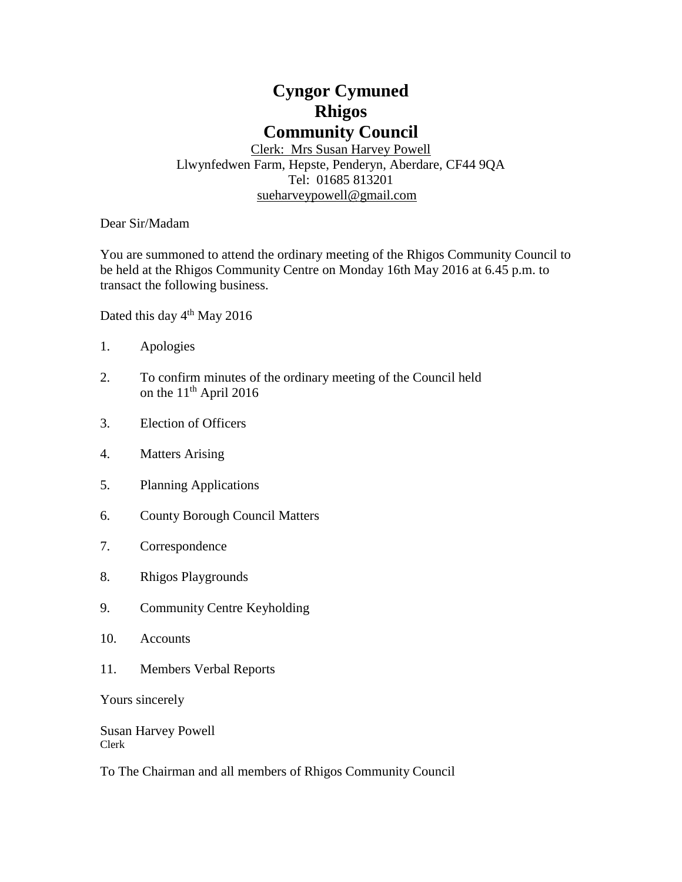# **Cyngor Cymuned Rhigos Community Council**

Clerk: Mrs Susan Harvey Powell Llwynfedwen Farm, Hepste, Penderyn, Aberdare, CF44 9QA Tel: 01685 813201 [sueharveypowell@g](mailto:sharveypowell@comin-infants.co.uk)mail.com

Dear Sir/Madam

You are summoned to attend the ordinary meeting of the Rhigos Community Council to be held at the Rhigos Community Centre on Monday 16th May 2016 at 6.45 p.m. to transact the following business.

Dated this day 4<sup>th</sup> May 2016

- 1. Apologies
- 2. To confirm minutes of the ordinary meeting of the Council held on the  $11<sup>th</sup>$  April 2016
- 3. Election of Officers
- 4. Matters Arising
- 5. Planning Applications
- 6. County Borough Council Matters
- 7. Correspondence
- 8. Rhigos Playgrounds
- 9. Community Centre Keyholding
- 10. Accounts
- 11. Members Verbal Reports

Yours sincerely

Susan Harvey Powell Clerk

To The Chairman and all members of Rhigos Community Council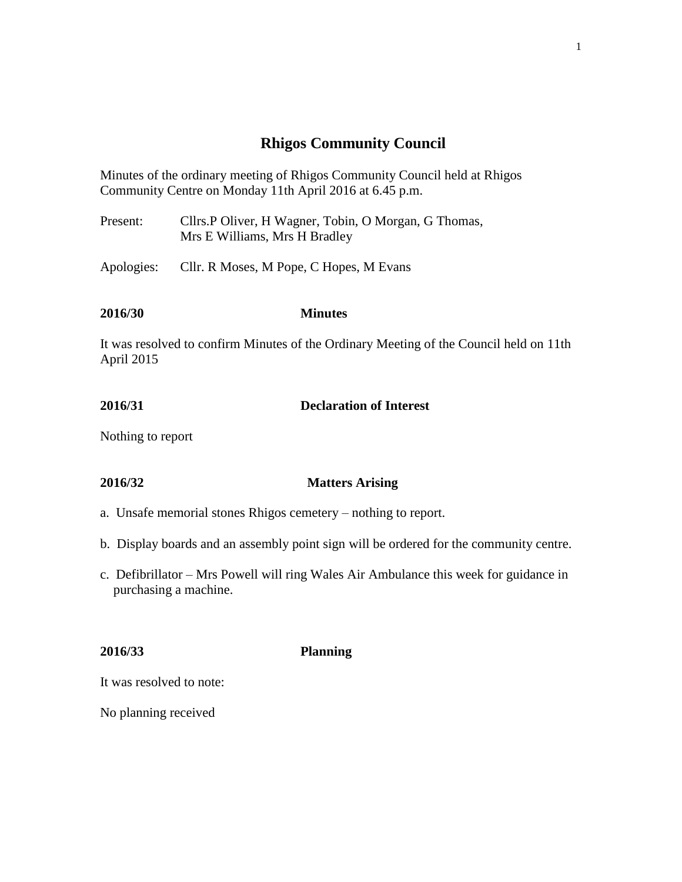# **Rhigos Community Council**

Minutes of the ordinary meeting of Rhigos Community Council held at Rhigos Community Centre on Monday 11th April 2016 at 6.45 p.m.

Present: Cllrs.P Oliver, H Wagner, Tobin, O Morgan, G Thomas, Mrs E Williams, Mrs H Bradley

Apologies: Cllr. R Moses, M Pope, C Hopes, M Evans

# **2016/30 Minutes**

It was resolved to confirm Minutes of the Ordinary Meeting of the Council held on 11th April 2015

**2016/31 Declaration of Interest**

Nothing to report

### **2016/32 Matters Arising**

- a. Unsafe memorial stones Rhigos cemetery nothing to report.
- b. Display boards and an assembly point sign will be ordered for the community centre.
- c. Defibrillator Mrs Powell will ring Wales Air Ambulance this week for guidance in purchasing a machine.

**2016/33 Planning**

It was resolved to note:

No planning received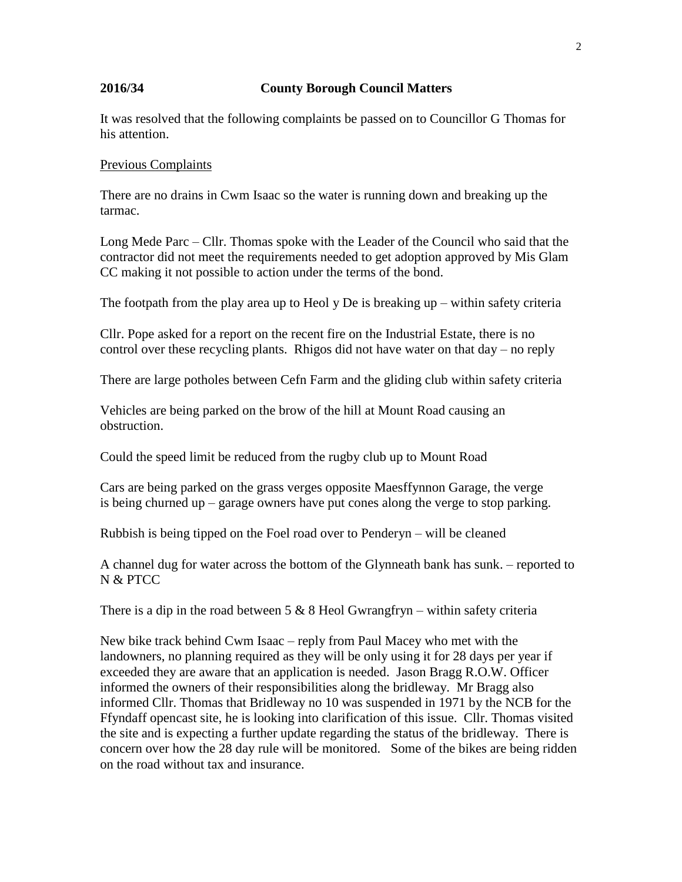# **2016/34 County Borough Council Matters**

It was resolved that the following complaints be passed on to Councillor G Thomas for his attention.

### Previous Complaints

There are no drains in Cwm Isaac so the water is running down and breaking up the tarmac.

Long Mede Parc – Cllr. Thomas spoke with the Leader of the Council who said that the contractor did not meet the requirements needed to get adoption approved by Mis Glam CC making it not possible to action under the terms of the bond.

The footpath from the play area up to Heol y De is breaking  $up$  – within safety criteria

Cllr. Pope asked for a report on the recent fire on the Industrial Estate, there is no control over these recycling plants. Rhigos did not have water on that day – no reply

There are large potholes between Cefn Farm and the gliding club within safety criteria

Vehicles are being parked on the brow of the hill at Mount Road causing an obstruction.

Could the speed limit be reduced from the rugby club up to Mount Road

Cars are being parked on the grass verges opposite Maesffynnon Garage, the verge is being churned up – garage owners have put cones along the verge to stop parking.

Rubbish is being tipped on the Foel road over to Penderyn – will be cleaned

A channel dug for water across the bottom of the Glynneath bank has sunk. – reported to N & PTCC

There is a dip in the road between  $5 \& 8$  Heol Gwrangfryn – within safety criteria

New bike track behind Cwm Isaac – reply from Paul Macey who met with the landowners, no planning required as they will be only using it for 28 days per year if exceeded they are aware that an application is needed. Jason Bragg R.O.W. Officer informed the owners of their responsibilities along the bridleway. Mr Bragg also informed Cllr. Thomas that Bridleway no 10 was suspended in 1971 by the NCB for the Ffyndaff opencast site, he is looking into clarification of this issue. Cllr. Thomas visited the site and is expecting a further update regarding the status of the bridleway. There is concern over how the 28 day rule will be monitored. Some of the bikes are being ridden on the road without tax and insurance.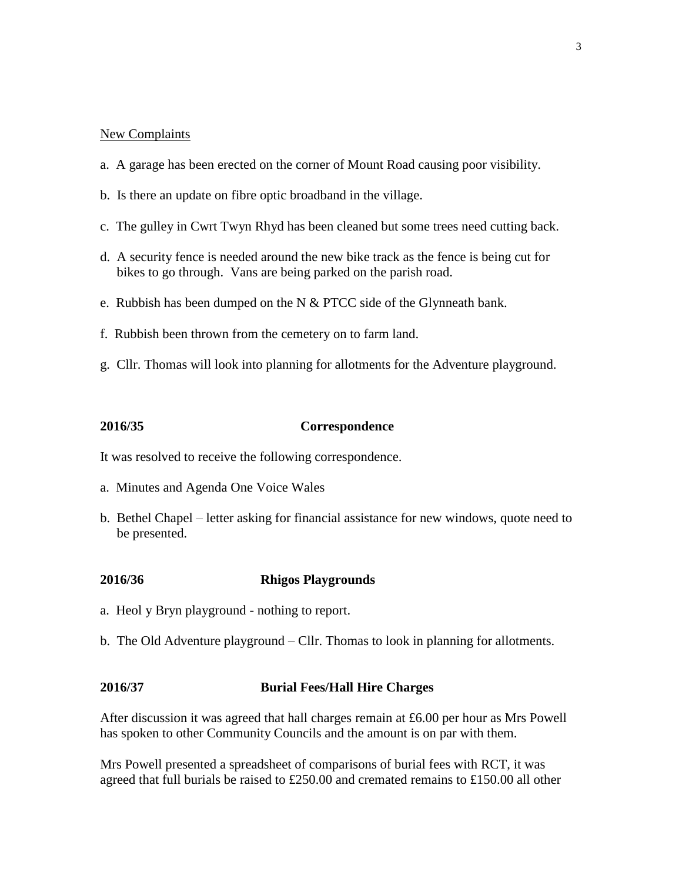### New Complaints

- a. A garage has been erected on the corner of Mount Road causing poor visibility.
- b. Is there an update on fibre optic broadband in the village.
- c. The gulley in Cwrt Twyn Rhyd has been cleaned but some trees need cutting back.
- d. A security fence is needed around the new bike track as the fence is being cut for bikes to go through. Vans are being parked on the parish road.
- e. Rubbish has been dumped on the N  $&$  PTCC side of the Glynneath bank.
- f. Rubbish been thrown from the cemetery on to farm land.
- g. Cllr. Thomas will look into planning for allotments for the Adventure playground.

#### **2016/35 Correspondence**

It was resolved to receive the following correspondence.

- a. Minutes and Agenda One Voice Wales
- b. Bethel Chapel letter asking for financial assistance for new windows, quote need to be presented.

#### **2016/36 Rhigos Playgrounds**

- a. Heol y Bryn playground nothing to report.
- b. The Old Adventure playground Cllr. Thomas to look in planning for allotments.

### **2016/37 Burial Fees/Hall Hire Charges**

After discussion it was agreed that hall charges remain at £6.00 per hour as Mrs Powell has spoken to other Community Councils and the amount is on par with them.

Mrs Powell presented a spreadsheet of comparisons of burial fees with RCT, it was agreed that full burials be raised to £250.00 and cremated remains to £150.00 all other